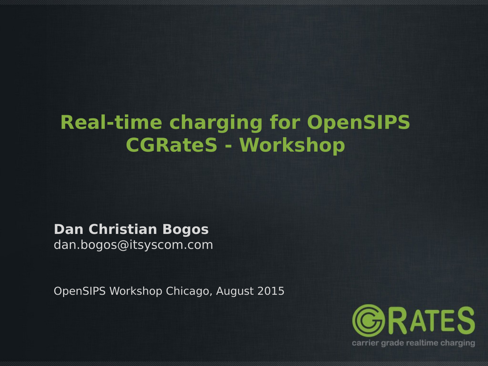## **Real-time charging for OpenSIPS CGRateS - Workshop**

**Dan Christian Bogos** dan.bogos@itsyscom.com

OpenSIPS Workshop Chicago, August 2015

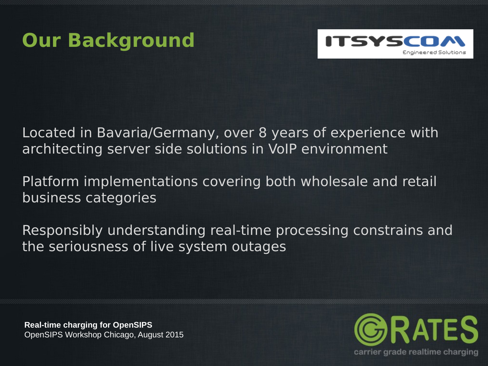



Located in Bavaria/Germany, over 8 years of experience with architecting server side solutions in VoIP environment

Platform implementations covering both wholesale and retail business categories

Responsibly understanding real-time processing constrains and the seriousness of live system outages

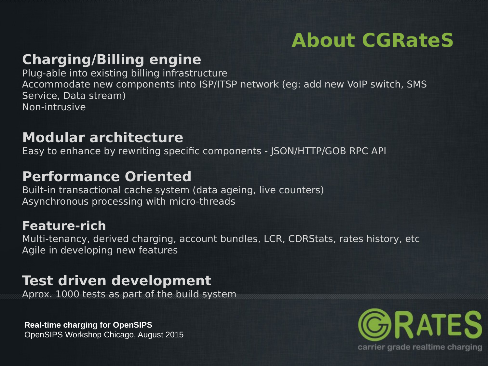# **About CGRateS**

### **Charging/Billing engine**

Plug-able into existing billing infrastructure Accommodate new components into ISP/ITSP network (eg: add new VoIP switch, SMS Service, Data stream) Non-intrusive

### **Modular architecture**

Easy to enhance by rewriting specific components - JSON/HTTP/GOB RPC API

### **Performance Oriented**

Built-in transactional cache system (data ageing, live counters) Asynchronous processing with micro-threads

#### **Feature-rich**

Multi-tenancy, derived charging, account bundles, LCR, CDRStats, rates history, etc Agile in developing new features

### **Test driven development**

Aprox. 1000 tests as part of the build system

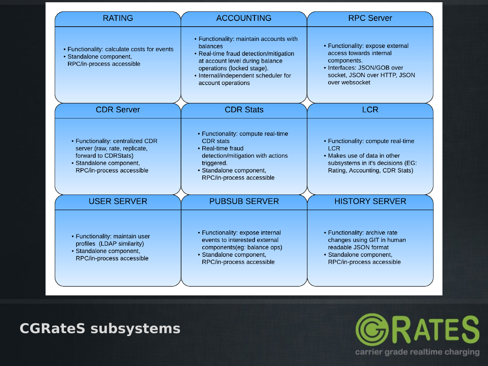| <b>RATING</b>                                                                                                                                     | <b>ACCOUNTING</b>                                                                                                                                                                                                            | <b>RPC Server</b>                                                                                                                                           |
|---------------------------------------------------------------------------------------------------------------------------------------------------|------------------------------------------------------------------------------------------------------------------------------------------------------------------------------------------------------------------------------|-------------------------------------------------------------------------------------------------------------------------------------------------------------|
| • Functionality: calculate costs for events<br>· Standalone component,<br>RPC/in-process accessible                                               | • Functionality: maintain accounts with<br>balances<br>• Real-time fraud detection/mitigation<br>at account level during balance<br>operations (locked stage).<br>• Internal/independent scheduler for<br>account operations | • Functionality: expose external<br>access towards internal<br>components.<br>• Interfaces: JSON/GOB over<br>socket, JSON over HTTP, JSON<br>over websocket |
| <b>CDR Server</b>                                                                                                                                 | <b>CDR Stats</b>                                                                                                                                                                                                             | <b>LCR</b>                                                                                                                                                  |
| • Functionality: centralized CDR<br>server (raw, rate, replicate,<br>forward to CDRStats)<br>· Standalone component,<br>RPC/in-process accessible | • Functionality: compute real-time<br><b>CDR</b> stats<br>• Real-time fraud<br>detection/mitigation with actions<br>triggered.<br>· Standalone component,<br>RPC/in-process accessible                                       | • Functionality: compute real-time<br><b>LCR</b><br>• Makes use of data in other<br>subsystems in it's decisions (EG:<br>Rating, Accounting, CDR Stats)     |
| <b>USER SERVER</b>                                                                                                                                | <b>PUBSUB SERVER</b>                                                                                                                                                                                                         | <b>HISTORY SERVER</b>                                                                                                                                       |
| • Functionality: maintain user<br>profiles (LDAP similarity)<br>• Standalone component,<br>RPC/in-process accessible                              | • Functionality: expose internal<br>events to interested external<br>components(eg: balance ops)<br>· Standalone component,<br>RPC/in-process accessible                                                                     | • Functionality: archive rate<br>changes using GIT in human<br>readable JSON format<br>· Standalone component,<br>RPC/in-process accessible                 |

#### **CGRateS subsystems**

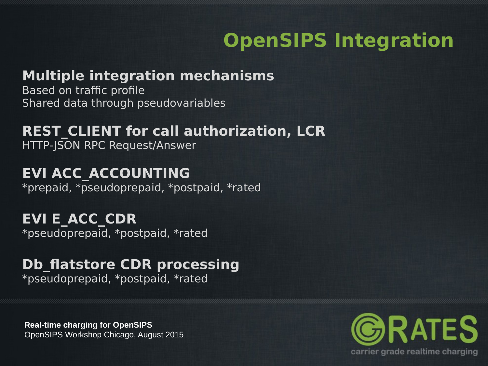# **OpenSIPS Integration**

### **Multiple integration mechanisms**

Based on traffic profile Shared data through pseudovariables

#### **REST\_CLIENT for call authorization, LCR** HTTP-JSON RPC Request/Answer

### **EVI ACC\_ACCOUNTING**

\*prepaid, \*pseudoprepaid, \*postpaid, \*rated

**EVI E\_ACC\_CDR** \*pseudoprepaid, \*postpaid, \*rated

## **Db\_flatstore CDR processing**

\*pseudoprepaid, \*postpaid, \*rated

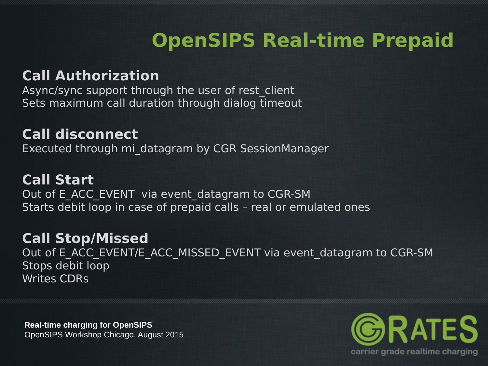# **OpenSIPS Real-time Prepaid**

### **Call Authorization**

Async/sync support through the user of rest\_client Sets maximum call duration through dialog timeout

### **Call disconnect**

Executed through mi\_datagram by CGR SessionManager

#### **Call Start**

Out of E\_ACC\_EVENT\_via event\_datagram to CGR-SM Starts debit loop in case of prepaid calls – real or emulated ones

#### **Call Stop/Missed**

Out of E\_ACC\_EVENT/E\_ACC\_MISSED\_EVENT via event\_datagram to CGR-SM Stops debit loop Writes CDRs

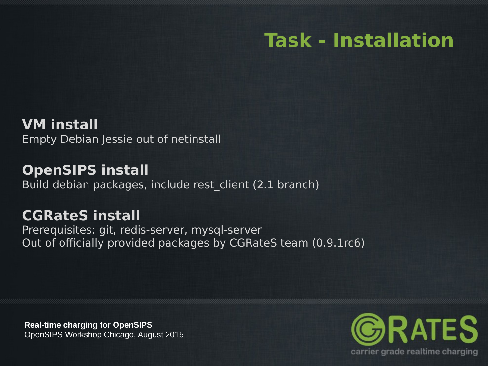### **Task - Installation**

**VM install** Empty Debian Jessie out of netinstall

**OpenSIPS install** Build debian packages, include rest\_client (2.1 branch)

#### **CGRateS install**

Prerequisites: git, redis-server, mysql-server Out of officially provided packages by CGRateS team (0.9.1rc6)

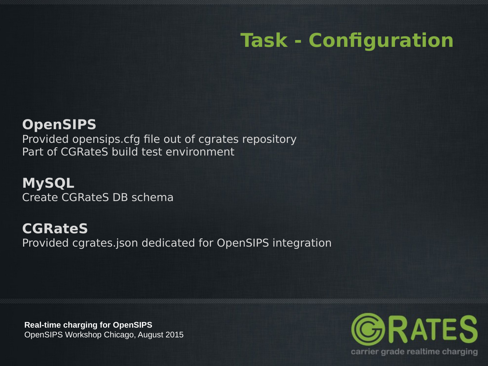# **Task - Configuration**

### **OpenSIPS**

Provided opensips.cfg file out of cgrates repository Part of CGRateS build test environment

**MySQL** Create CGRateS DB schema

**CGRateS** Provided cgrates.json dedicated for OpenSIPS integration

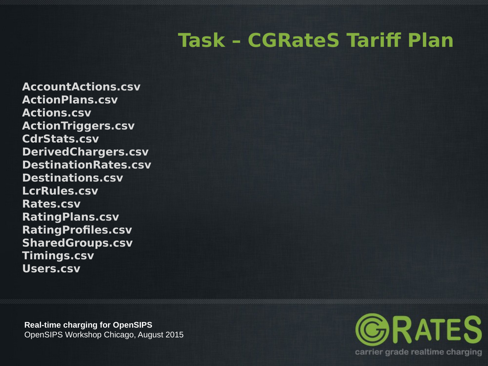# **Task – CGRateS Tariff Plan**

**AccountActions.csv ActionPlans.csv Actions.csv ActionTriggers.csv CdrStats.csv DerivedChargers.csv DestinationRates.csv Destinations.csv LcrRules.csv Rates.csv RatingPlans.csv RatingProfiles.csv SharedGroups.csv Timings.csv Users.csv**

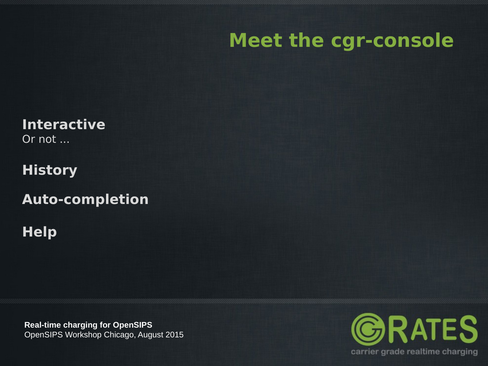### **Meet the cgr-console**

**Interactive** Or not ...

**History**

**Auto-completion**

**Help**

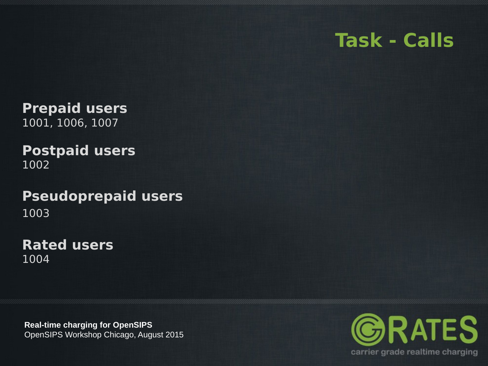### **Task - Calls**

**Prepaid users** 1001, 1006, 1007

#### **Postpaid users** 1002

#### **Pseudoprepaid users** 1003

**Rated users** 1004

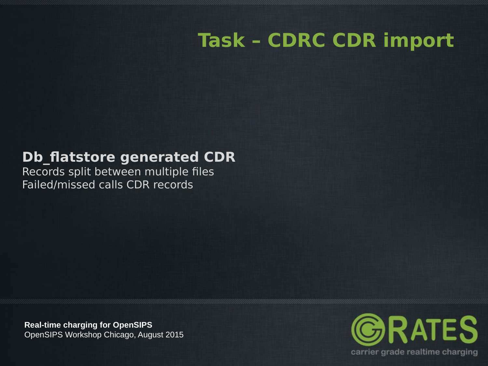## **Task – CDRC CDR import**

### **Db\_flatstore generated CDR**

Records split between multiple files Failed/missed calls CDR records

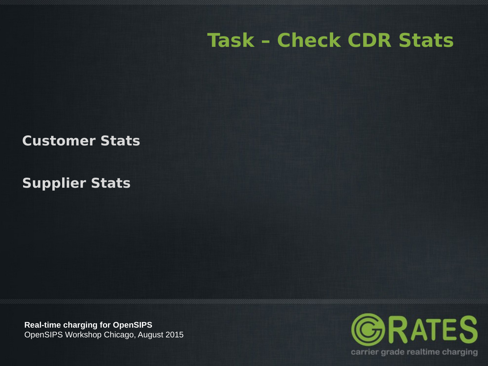### **Task – Check CDR Stats**

**Customer Stats**

**Supplier Stats**

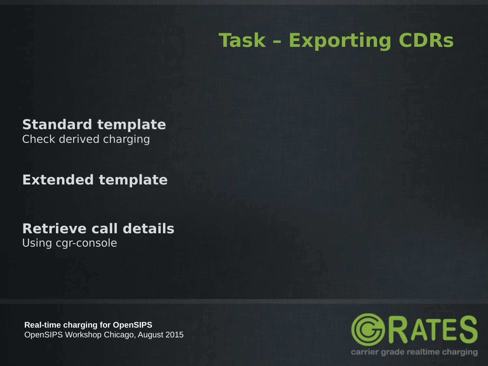## **Task – Exporting CDRs**

**Standard template**

Check derived charging

**Extended template**

**Retrieve call details**

Using cgr-console

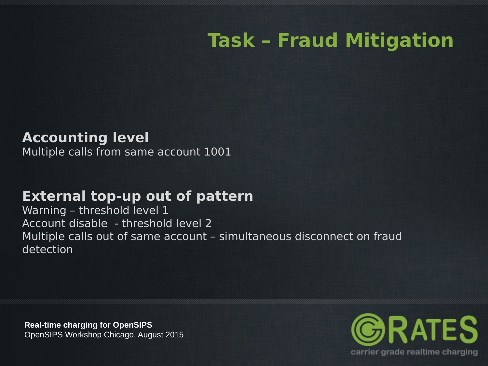# **Task – Fraud Mitigation**

#### **Accounting level**

Multiple calls from same account 1001

#### **External top-up out of pattern**

Warning – threshold level 1 Account disable - threshold level 2 Multiple calls out of same account – simultaneous disconnect on fraud detection

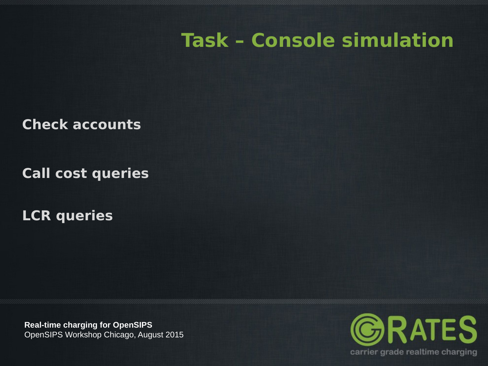### **Task – Console simulation**

**Check accounts**

**Call cost queries**

**LCR queries**